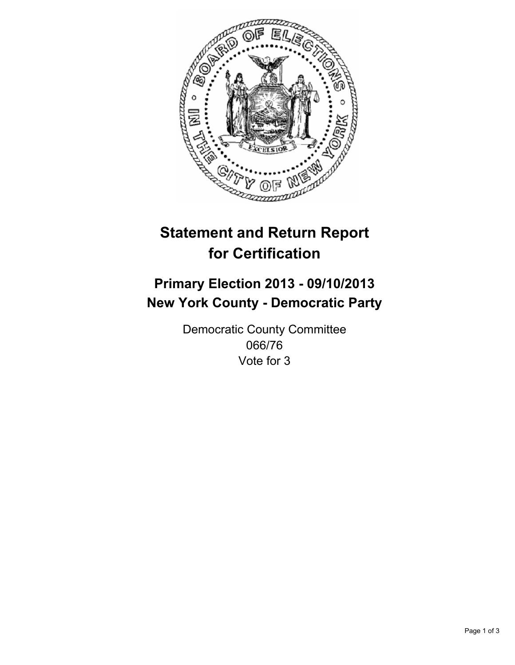

# **Statement and Return Report for Certification**

# **Primary Election 2013 - 09/10/2013 New York County - Democratic Party**

Democratic County Committee 066/76 Vote for 3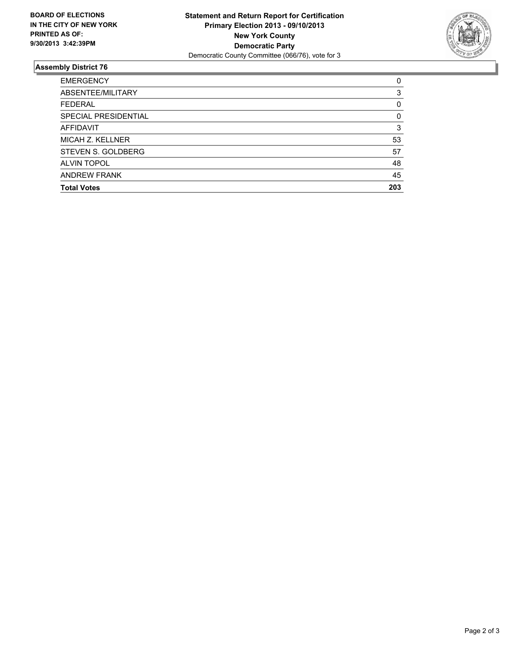

## **Assembly District 76**

| <b>EMERGENCY</b>     | 0   |
|----------------------|-----|
| ABSENTEE/MILITARY    | 3   |
| <b>FEDERAL</b>       | 0   |
| SPECIAL PRESIDENTIAL | 0   |
| <b>AFFIDAVIT</b>     | 3   |
| MICAH Z. KELLNER     | 53  |
| STEVEN S. GOLDBERG   | 57  |
| <b>ALVIN TOPOL</b>   | 48  |
| <b>ANDREW FRANK</b>  | 45  |
| <b>Total Votes</b>   | 203 |